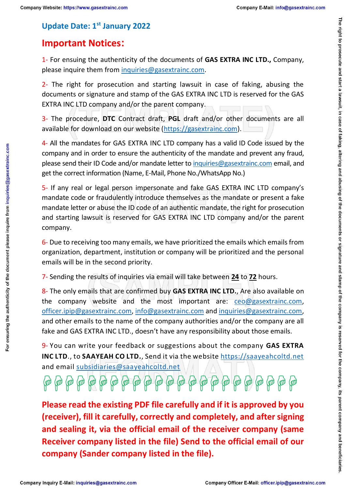For ensuring the authenticity of the document please inquire from inquiries@gasextrainc.com

## **Update Date: 1st January 2022**

## **Important Notices:**

1- For ensuing the authenticity of the documents of **GAS EXTRA INC LTD.,** Company, please inquire them from [inquiries@gasextrainc.com.](mailto:inquiries@gasextrainc.com)

2- The right for prosecution and starting lawsuit in case of faking, abusing the documents or signature and stamp of the GAS EXTRA INC LTD is reserved for the GAS EXTRA INC LTD company and/or the parent company.

3- The procedure, **DTC** Contract draft, **PGL** draft and/or other documents are all available for download on our website [\(https://gasextrainc.com\)](https://gasextrainc.com/).

4- All the mandates for GAS EXTRA INC LTD company has a valid ID Code issued by the company and in order to ensure the authenticity of the mandate and prevent any fraud, please send their ID Code and/or mandate letter to [inquiries@gasextrainc.com](mailto:inquiries@gasextrainc.com) email, and get the correct information (Name, E-Mail, Phone No./WhatsApp No.)

5- If any real or legal person impersonate and fake GAS EXTRA INC LTD company's mandate code or fraudulently introduce themselves as the mandate or present a fake mandate letter or abuse the ID code of an authentic mandate, the right for prosecution and starting lawsuit is reserved for GAS EXTRA INC LTD company and/or the parent company.

6- Due to receiving too many emails, we have prioritized the emails which emails from organization, department, institution or company will be prioritized and the personal emails will be in the second priority.

7- Sending the results of inquiries via email will take between **24** to **72** hours.

8- The only emails that are confirmed buy **GAS EXTRA INC LTD.**, Are also available on the company website and the most important are: [ceo@gasextrainc.com,](mailto:ceo@gasextrainc.com) [officer.ipip@gasextrainc.com,](mailto:officer.ipip@gasextrainc.com) [info@gasextrainc.com](mailto:info@gasextrainc.com) and [inquiries@gasextrainc.com,](mailto:inquiries@gasextrainc.com) and other emails to the name of the company authorities and/or the company are all fake and GAS EXTRA INC LTD., doesn't have any responsibility about those emails.

9- You can write your feedback or suggestions about the company **GAS EXTRA INC LTD**., to **SAAYEAH CO LTD.**, Send it via the website [https://saayeahcoltd.net](https://saayeahcoltd.net/) and email [subsidiaries@saayeahcoltd.net](mailto:subsidiaries@saayeahcoltd.net)

 $\overline{\mathfrak{g}}$  (or  $\overline{\mathfrak{g}}$  )  $\overline{\mathfrak{g}}$  (or  $\overline{\mathfrak{g}}$  )  $\overline{\mathfrak{g}}$  (or  $\overline{\mathfrak{g}}$  )  $\overline{\mathfrak{g}}$  (or  $\overline{\mathfrak{g}}$  )  $\overline{\mathfrak{g}}$  (or  $\overline{\mathfrak{g}}$  )  $\overline{\mathfrak{g}}$  )  $\overline{\mathfrak{g}}$  )  $\overline{\mathfrak{g}}$  )  $\overline{\mathfrak{g}}$  )

**Please read the existing PDF file carefully and if it is approved by you (receiver), fill it carefully, correctly and completely, and after signing and sealing it, via the official email of the receiver company (same Receiver company listed in the file) Send to the official email of our company (Sander company listed in the file).**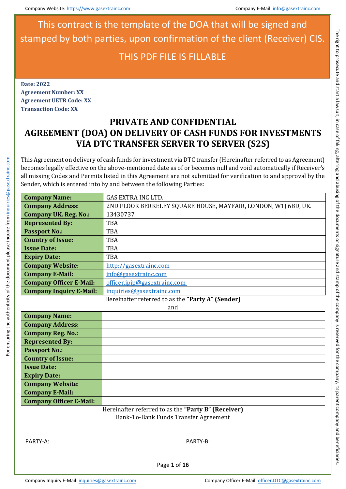**Date: 2022 Agreement Number: XX Agreement UETR Code: XX Transaction Code: XX**

# **PRIVATE AND CONFIDENTIAL AGREEMENT (DOA) ON DELIVERY OF CASH FUNDS FOR INVESTMENTS VIA DTC TRANSFER SERVER TO SERVER (S2S)**

This Agreement on delivery of cash funds for investment via DTC transfer (Hereinafter referred to as Agreement) becomes legally effective on the above-mentioned date as of or becomes null and void automatically if Receiver's all missing Codes and Permits listed in this Agreement are not submitted for verification to and approval by the Sender, which is entered into by and between the following Parties:

| <b>Company Name:</b>                              | <b>GAS EXTRA INC LTD.</b>                                      |  |
|---------------------------------------------------|----------------------------------------------------------------|--|
| <b>Company Address:</b>                           | 2ND FLOOR BERKELEY SQUARE HOUSE, MAYFAIR, LONDON, W1J 6BD, UK. |  |
| <b>Company UK. Reg. No.:</b>                      | 13430737                                                       |  |
| <b>Represented By:</b>                            | <b>TBA</b>                                                     |  |
| <b>Passport No.:</b>                              | <b>TBA</b>                                                     |  |
| <b>Country of Issue:</b>                          | <b>TBA</b>                                                     |  |
| <b>Issue Date:</b>                                | <b>TBA</b>                                                     |  |
| <b>Expiry Date:</b>                               | <b>TBA</b>                                                     |  |
| <b>Company Website:</b>                           | http://gasextrainc.com                                         |  |
| <b>Company E-Mail:</b>                            | info@gasextrainc.com                                           |  |
| <b>Company Officer E-Mail:</b>                    | officer.ipip@gasextrainc.com                                   |  |
| <b>Company Inquiry E-Mail:</b>                    | inquiries@gasextrainc.com                                      |  |
| Hereinafter referred to as the "Party A" (Sender) |                                                                |  |

and

| <b>Company Name:</b>           |  |
|--------------------------------|--|
| <b>Company Address:</b>        |  |
| <b>Company Reg. No.:</b>       |  |
| <b>Represented By:</b>         |  |
| <b>Passport No.:</b>           |  |
| <b>Country of Issue:</b>       |  |
| <b>Issue Date:</b>             |  |
| <b>Expiry Date:</b>            |  |
| <b>Company Website:</b>        |  |
| <b>Company E-Mail:</b>         |  |
| <b>Company Officer E-Mail:</b> |  |
|                                |  |

Hereinafter referred to as the **"Party B" (Receiver)** Bank-To-Bank Funds Transfer Agreement

For ensuring the authenticity of the document please inquire from inquiries@gasextrainc.com

or ensuring the authenticity of the document please inquire from inquiries@gasextrainc.com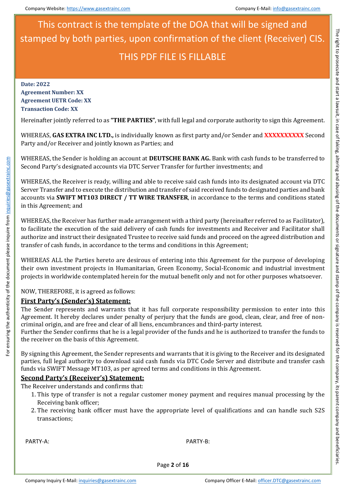**Date: 2022 Agreement Number: XX Agreement UETR Code: XX Transaction Code: XX**

Hereinafter jointly referred to as **"THE PARTIES"**, with full legal and corporate authority to sign this Agreement.

WHEREAS, **GAS EXTRA INC LTD.,** is individually known as first party and/or Sender and **XXXXXXXXXX** Second Party and/or Receiver and jointly known as Parties; and

WHEREAS, the Sender is holding an account at **DEUTSCHE BANK AG.** Bank with cash funds to be transferred to Second Party's designated accounts via DTC Server Transfer for further investments; and

WHEREAS, the Receiver is ready, willing and able to receive said cash funds into its designated account via DTC Server Transfer and to execute the distribution and transfer of said received funds to designated parties and bank accounts via **SWIFT MT103 DIRECT / TT WIRE TRANSFER**, in accordance to the terms and conditions stated in this Agreement; and

WHEREAS, the Receiver has further made arrangement with a third party (hereinafter referred to as Facilitator), to facilitate the execution of the said delivery of cash funds for investments and Receiver and Facilitator shall aut[horize and instruct thei](mailto:inquiries@gasextrainc.com)r designated Trustee to receive said funds and proceed on the agreed distribution and transfer of cash funds, in accordance to the terms and conditions in this Agreement;

WHEREAS ALL the Parties hereto are desirous of entering into this Agreement for the purpose of developing their own investment projects in Humanitarian, Green Economy, Social-Economic and industrial investment projects in worldwide contemplated herein for the mutual benefit only and not for other purposes whatsoever.

NOW, THEREFORE, it is agreed as follows:

### **First Party's (Sender's) Statement:**

The Sender represents and warrants that it has full corporate responsibility permission to enter into this Agreement. It hereby declares under penalty of perjury that the funds are good, clean, clear, and free of noncriminal origin, and are free and clear of all liens, encumbrances and third-party interest.

Further the Sender confirms that he is a legal provider of the funds and he is authorized to transfer the funds to the receiver on the basis of this Agreement.

By signing this Agreement, the Sender represents and warrants that it is giving to the Receiver and its designated parties, full legal authority to download said cash funds via DTC Code Server and distribute and transfer cash funds via SWIFT Message MT103, as per agreed terms and conditions in this Agreement.

### **Second Party's (Receiver's) Statement:**

The Receiver understands and confirms that:

- 1. This type of transfer is not a regular customer money payment and requires manual processing by the Receiving bank officer;
- 2. The receiving bank officer must have the appropriate level of qualifications and can handle such S2S transactions;

PARTY-A: PARTY-B:

For ensuring the authenticity of the document please inquire from inquiries@gasextrainc.com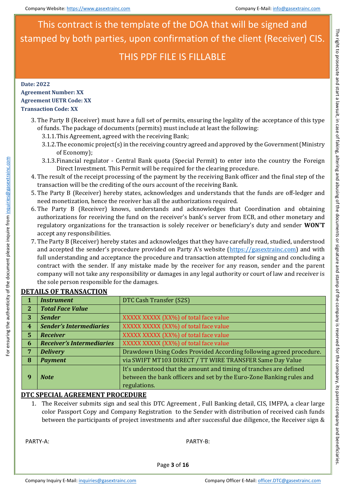**Date: 2022**

### **Agreement Number: XX Agreement UETR Code: XX Transaction Code: XX**

- 3. The Party B (Receiver) must have a full set of permits, ensuring the legality of the acceptance of this type of funds. The package of documents (permits) must include at least the following:
	- 3.1.1.This Agreement, agreed with the receiving Bank;
	- 3.1.2.The economic project(s) in the receiving country agreed and approved by the Government (Ministry of Economy);
	- 3.1.3.Financial regulator Central Bank quota (Special Permit) to enter into the country the Foreign Direct Investment. This Permit will be required for the clearing procedure.
- 4. The result of the receipt processing of the payment by the receiving Bank officer and the final step of the transaction will be the crediting of the ours account of the receiving Bank.
- 5. The Party B (Receiver) hereby states, acknowledges and understands that the funds are off-ledger and need monetization, hence the receiver has all the authorizations required.
- 6. The Party B (Receiver) knows, understands and acknowledges that Coordination and obtaining authorizations for receiving the fund on the receiver's bank's server from ECB, and other monetary and regulatory organizations for the transaction is solely receiver or beneficiary's duty and sender **WON'T** accept any responsibilities.
- 7. [The Party B \(Receive](mailto:inquiries@gasextrainc.com)r) hereby states and acknowledges that they have carefully read, studied, understood and accepted the sender's procedure provided on Party A's website [\(https://gasextrainc.com\)](https://gasextrainc.com/) and with full understanding and acceptance the procedure and transaction attempted for signing and concluding a contract with the sender. If any mistake made by the receiver for any reason, sender and the parent company will not take any responsibility or damages in any legal authority or court of law and receiver is the sole person responsible for the damages.

|                | <b>Instrument</b>                | DTC Cash Transfer (S2S)                                              |
|----------------|----------------------------------|----------------------------------------------------------------------|
| $\overline{2}$ | <b>Total Face Value</b>          |                                                                      |
| 3              | <b>Sender</b>                    | XXXXX XXXXX (XX%) of total face value                                |
| 4 <sub>1</sub> | <b>Sender's Intermediaries</b>   | XXXXX XXXXX (XX%) of total face value                                |
| 5 <sup>1</sup> | Receiver                         | XXXXX XXXXX (XX%) of total face value                                |
| 6              | <b>Receiver's Intermediaries</b> | XXXXX XXXXX (XX%) of total face value                                |
| 7              | <b>Delivery</b>                  | Drawdown Using Codes Provided According following agreed procedure.  |
| 8              | <b>Payment</b>                   | via SWIFT MT103 DIRECT / TT WIRE TRANSFER Same Day Value             |
|                |                                  | It's understood that the amount and timing of tranches are defined   |
| 9              | <b>Note</b>                      | between the bank officers and set by the Euro-Zone Banking rules and |
|                |                                  | regulations.                                                         |

### **DETAILS OF TRANSACTION**

For ensuring the authenticity of the document please inquire from inquiries@gasextrainc.com

For ensuring the authenticity of the document please inquire from inquiries@gasextrainc.com

### **DTC SPECIAL AGREEMENT PROCEDURE**

1. The Receiver submits sign and seal this DTC Agreement , Full Banking detail, CIS, IMFPA, a clear large color Passport Copy and Company Registration to the Sender with distribution of received cash funds between the participants of project investments and after successful due diligence, the Receiver sign &

PARTY-A: PARTY-B:

Page **3** of **16**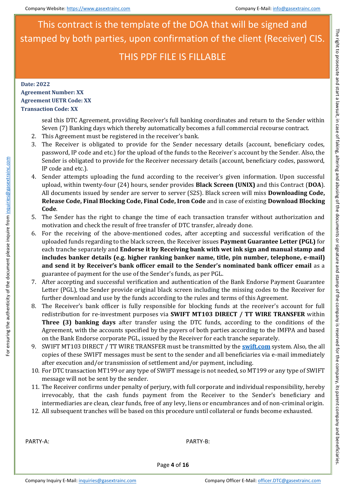### **Date: 2022 Agreement Number: XX Agreement UETR Code: XX Transaction Code: XX**

seal this DTC Agreement, providing Receiver's full banking coordinates and return to the Sender within Seven (7) Banking days which thereby automatically becomes a full commercial recourse contract.

- 2. This Agreement must be registered in the receiver's bank.
- 3. The Receiver is obligated to provide for the Sender necessary details (account, beneficiary codes, password, IP code and etc.) for the upload of the funds to the Receiver`s account by the Sender. Also, the Sender is obligated to provide for the Receiver necessary details (account, beneficiary codes, password, IP code and etc.).
- 4. Sender attempts uploading the fund according to the receiver's given information. Upon successful upload, within twenty-four (24) hours, sender provides **Black Screen (UNIX)** and this Contract (**DOA**). All documents issued by sender are server to server (S2S). Black screen will miss **Downloading Code, Release Code, Final Blocking Code, Final Code, Iron Code** and in case of existing **Download Blocking Code**.
- 5. The Sender has the right to change the time of each transaction transfer without authorization and motivation and check the result of free transfer of DTC transfer, already done.
- 6. For the receiving of the above-mentioned codes, after accepting and successful verification of the [uploaded funds reg](mailto:inquiries@gasextrainc.com)arding to the black screen, the Receiver issues **Payment Guarantee Letter (PGL)** for each tranche separately and **Endorse it by Receiving bank with wet ink sign and manual stamp and includes banker details (e.g. higher ranking banker name, title, pin number, telephone, e-mail) and send it by Receiver's bank officer email to the Sender's nominated bank officer email** as a guarantee of payment for the use of the Sender's funds, as per PGL.
- 7. After accepting and successful verification and authentication of the Bank Endorse Payment Guarantee Letter (PGL), the Sender provide original black screen including the missing codes to the Receiver for further download and use by the funds according to the rules and terms of this Agreement.
- 8. The Receiver's bank officer is fully responsible for blocking funds at the receiver's account for full redistribution for re-investment purposes via **SWIFT MT103 DIRECT / TT WIRE TRANSFER** within **Three (3) banking days** after transfer using the DTC funds, according to the conditions of the Agreement, with the accounts specified by the payers of both parties according to the IMFPA and based on the Bank Endorse corporate PGL, issued by the Receiver for each tranche separately.
- 9. SWIFT MT103 DIRECT / TT WIRE TRANSFER must be transmitted by the **swift.com** system. Also, the all copies of these SWIFT messages must be sent to the sender and all beneficiaries via e-mail immediately after execution and/or transmission of settlement and/or payment, including.
- 10. For DTC transaction MT199 or any type of SWIFT message is not needed, so MT199 or any type of SWIFT message will not be sent by the sender.
- 11. The Receiver confirms under penalty of perjury, with full corporate and individual responsibility, hereby irrevocably, that the cash funds payment from the Receiver to the Sender's beneficiary and intermediaries are clean, clear funds, free of any levy, liens or encumbrances and of non-criminal origin.
- 12. All subsequent tranches will be based on this procedure until collateral or funds become exhausted.

PARTY-A: PARTY-B:

For ensuring the authenticity of the document please inquire from inquiries@gasextrainc.com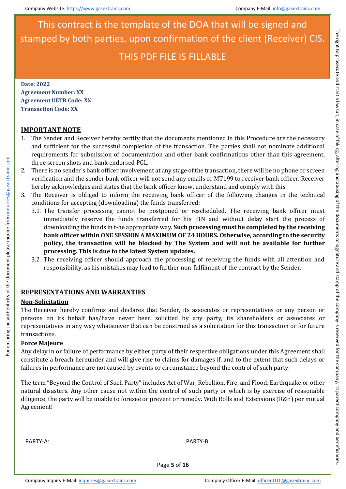**Date: 2022 Agreement Number: XX Agreement UETR Code: XX Transaction Code: XX**

### **IMPORTANT NOTE**

- 1. The Sender and Receiver hereby certify that the documents mentioned in this Procedure are the necessary and sufficient for the successful completion of the transaction. The parties shall not nominate additional requirements for submission of documentation and other bank confirmations other than this agreement, three screen shots and bank endorsed PGL.
- 2. There is no sender's bank officer involvement at any stage of the transaction, there will be no phone or screen verification and the sender bank officer will not send any emails or MT199 to receiver bank officer. Receiver hereby acknowledges and states that the bank officer know, understand and comply with this.
- 3. The Receiver is obliged to inform the receiving bank officer of the following changes in the technical conditions for accepting (downloading) the funds transferred:
	- 3.1. The transfer processing cannot be postponed or rescheduled. The receiving bank officer must immediately reserve the funds transferred for his PIN and without delay start the process of downloading the funds in t-he appropriate way. **Such processing must be completed by the receiving bank officer within ONE SESSION A MAXIMUM OF 24 HOURS. Otherwise, according to the security [policy, the trans](mailto:inquiries@gasextrainc.com)action will be blocked by The System and will not be available for further processing. This is due to the latest System updates.**
	- 3.2. The receiving officer should approach the processing of receiving the funds with all attention and responsibility, as his mistakes may lead to further non-fulfilment of the contract by the Sender.

### **REPRESENTATIONS AND WARRANTIES**

### **Non-Solicitation**

For ensuring the authenticity of the document please inquire from inquiries@gasextrainc.com

or ensuring the authenticity of the document please inquire from inquiries@gasextrainc.com

The Receiver hereby confirms and declares that Sender, its associates or representatives or any person or persons on its behalf has/have never been solicited by any party, its shareholders or associates or representatives in any way whatsoever that can be construed as a solicitation for this transaction or for future transactions.

### **Force Majeure**

Any delay in or failure of performance by either party of their respective obligations under this Agreement shall constitute a breach hereunder and will give rise to claims for damages if, and to the extent that such delays or failures in performance are not caused by events or circumstance beyond the control of such party.

The term "Beyond the Control of Such Party" includes Act of War, Rebellion, Fire, and Flood, Earthquake or other natural disasters. Any other cause not within the control of such party or which is by exercise of reasonable diligence, the party will be unable to foresee or prevent or remedy. With Rolls and Extensions (R&E) per mutual Agreement!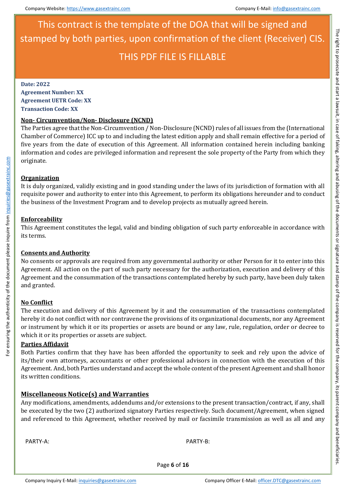**Date: 2022**

**Agreement Number: XX Agreement UETR Code: XX Transaction Code: XX**

### **Non- Circumvention/Non- Disclosure (NCND)**

The Parties agree that the Non-Circumvention / Non-Disclosure (NCND) rules of all issues from the (International Chamber of Commerce) ICC up to and including the latest edition apply and shall remain effective for a period of five years from the date of execution of this Agreement. All information contained herein including banking information and codes are privileged information and represent the sole property of the Party from which they originate.

### **Organization**

It is duly organized, validly existing and in good standing under the laws of its jurisdiction of formation with all requisite power and authority to enter into this Agreement, to perform its obligations hereunder and to conduct the business of the Investment Program and to develop projects as mutually agreed herein.

### **Enforceability**

This Agreement constitutes the legal, valid and binding obligation of such party enforceable in accordance with its t[erms.](mailto:inquiries@gasextrainc.com)

### **Consents and Authority**

No consents or approvals are required from any governmental authority or other Person for it to enter into this Agreement. All action on the part of such party necessary for the authorization, execution and delivery of this Agreement and the consummation of the transactions contemplated hereby by such party, have been duly taken and granted.

### **No Conflict**

For ensuring the authenticity of the document please inquire from inquiries@gasextrainc.com

For ensuring the authenticity of the document please inquire from inquiries@gasextrainc.com

The execution and delivery of this Agreement by it and the consummation of the transactions contemplated hereby it do not conflict with nor contravene the provisions of its organizational documents, nor any Agreement or instrument by which it or its properties or assets are bound or any law, rule, regulation, order or decree to which it or its properties or assets are subject.

### **Parties Affidavit**

Both Parties confirm that they have has been afforded the opportunity to seek and rely upon the advice of its/their own attorneys, accountants or other professional advisors in connection with the execution of this Agreement. And, both Parties understand and accept the whole content of the present Agreement and shall honor its written conditions.

### **Miscellaneous Notice(s) and Warranties**

Any modifications, amendments, addendums and/or extensions to the present transaction/contract, if any, shall be executed by the two (2) authorized signatory Parties respectively. Such document/Agreement, when signed and referenced to this Agreement, whether received by mail or facsimile transmission as well as all and any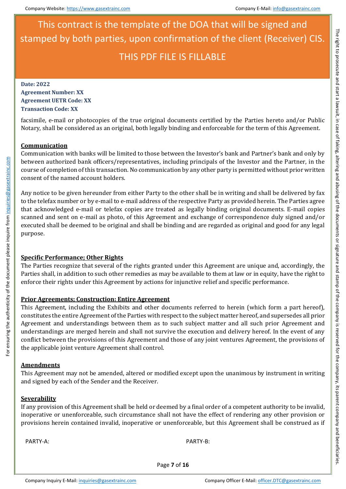**Date: 2022 Agreement Number: XX Agreement UETR Code: XX Transaction Code: XX**

facsimile, e-mail or photocopies of the true original documents certified by the Parties hereto and/or Public Notary, shall be considered as an original, both legally binding and enforceable for the term of this Agreement.

### **Communication**

Communication with banks will be limited to those between the Investor's bank and Partner's bank and only by between authorized bank officers/representatives, including principals of the Investor and the Partner, in the course of completion of this transaction. No communication by any other party is permitted without prior written consent of the named account holders.

Any notice to be given hereunder from either Party to the other shall be in writing and shall be delivered by fax to the telefax number or by e-mail to e-mail address of the respective Party as provided herein. The Parties agree that acknowledged e-mail or telefax copies are treated as legally binding original documents. E-mail copies scanned and sent on e-mail as photo, of this Agreement and exchange of correspondence duly signed and/or executed shall be deemed to be original and shall be binding and are regarded as original and good for any legal pur[pose.](mailto:inquiries@gasextrainc.com)

### **Specific Performance; Other Rights**

The Parties recognize that several of the rights granted under this Agreement are unique and, accordingly, the Parties shall, in addition to such other remedies as may be available to them at law or in equity, have the right to enforce their rights under this Agreement by actions for injunctive relief and specific performance.

### **Prior Agreements; Construction: Entire Agreement**

This Agreement, including the Exhibits and other documents referred to herein (which form a part hereof), constitutes the entire Agreement of the Parties with respect to the subject matter hereof, and supersedes all prior Agreement and understandings between them as to such subject matter and all such prior Agreement and understandings are merged herein and shall not survive the execution and delivery hereof. In the event of any conflict between the provisions of this Agreement and those of any joint ventures Agreement, the provisions of the applicable joint venture Agreement shall control.

### **Amendments**

For ensuring the authenticity of the document please inquire from inquiries@gasextrainc.com

For ensuring the authenticity of the document please inquire from inquiries@gasextrainc.com

This Agreement may not be amended, altered or modified except upon the unanimous by instrument in writing and signed by each of the Sender and the Receiver.

### **Severability**

If any provision of this Agreement shall be held or deemed by a final order of a competent authority to be invalid, inoperative or unenforceable, such circumstance shall not have the effect of rendering any other provision or provisions herein contained invalid, inoperative or unenforceable, but this Agreement shall be construed as if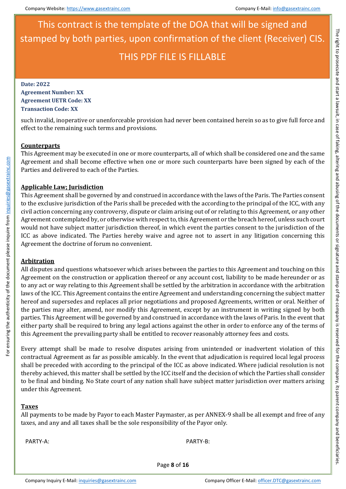**Date: 2022 Agreement Number: XX Agreement UETR Code: XX Transaction Code: XX**

such invalid, inoperative or unenforceable provision had never been contained herein so as to give full force and effect to the remaining such terms and provisions.

### **Counterparts**

This Agreement may be executed in one or more counterparts, all of which shall be considered one and the same Agreement and shall become effective when one or more such counterparts have been signed by each of the Parties and delivered to each of the Parties.

### **Applicable Law; Jurisdiction**

This Agreement shall be governed by and construed in accordance with the laws of the Paris. The Parties consent to the exclusive jurisdiction of the Paris shall be preceded with the according to the principal of the ICC, with any civil action concerning any controversy, dispute or claim arising out of or relating to this Agreement, or any other Agreement contemplated by, or otherwise with respect to, this Agreement or the breach hereof, unless such court would not have subject matter jurisdiction thereof, in which event the parties consent to the jurisdiction of the ICC [as above indicated. T](mailto:inquiries@gasextrainc.com)he Parties hereby waive and agree not to assert in any litigation concerning this Agreement the doctrine of forum no convenient.

### **Arbitration**

For ensuring the authenticity of the document please inquire from inquiries@gasextrainc.com

For ensuring the authenticity of the document please inquire from inquiries@gasextrainc.com

All disputes and questions whatsoever which arises between the parties to this Agreement and touching on this Agreement on the construction or application thereof or any account cost, liability to be made hereunder or as to any act or way relating to this Agreement shall be settled by the arbitration in accordance with the arbitration laws of the ICC. This Agreement contains the entire Agreement and understanding concerning the subject matter hereof and supersedes and replaces all prior negotiations and proposed Agreements, written or oral. Neither of the parties may alter, amend, nor modify this Agreement, except by an instrument in writing signed by both parties. This Agreement will be governed by and construed in accordance with the laws of Paris. In the event that either party shall be required to bring any legal actions against the other in order to enforce any of the terms of this Agreement the prevailing party shall be entitled to recover reasonably attorney fees and costs.

Every attempt shall be made to resolve disputes arising from unintended or inadvertent violation of this contractual Agreement as far as possible amicably. In the event that adjudication is required local legal process shall be preceded with according to the principal of the ICC as above indicated. Where judicial resolution is not thereby achieved, this matter shall be settled by the ICC itself and the decision of which the Parties shall consider to be final and binding. No State court of any nation shall have subject matter jurisdiction over matters arising under this Agreement.

### **Taxes**

All payments to be made by Payor to each Master Paymaster, as per ANNEX-9 shall be all exempt and free of any taxes, and any and all taxes shall be the sole responsibility of the Payor only.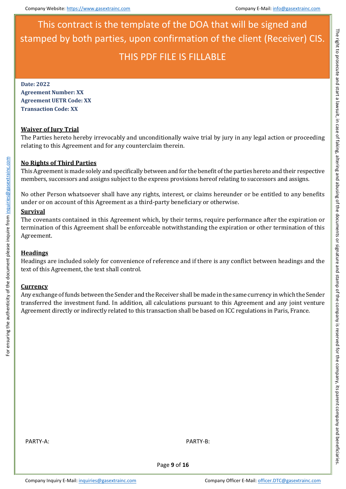**Date: 2022 Agreement Number: XX Agreement UETR Code: XX Transaction Code: XX**

### **Waiver of Jury Trial**

The Parties hereto hereby irrevocably and unconditionally waive trial by jury in any legal action or proceeding relating to this Agreement and for any counterclaim therein.

### **No Rights of Third Parties**

This Agreement is made solely and specifically between and for the benefit of the parties hereto and their respective members, successors and assigns subject to the express provisions hereof relating to successors and assigns.

No other Person whatsoever shall have any rights, interest, or claims hereunder or be entitled to any benefits under or on account of this Agreement as a third-party beneficiary or otherwise.

### **Survival**

The covenants contained in this Agreement which, by their terms, require performance after the expiration or termination of this Agreement shall be enforceable notwithstanding the expiration or other termination of this Agr[eement.](mailto:inquiries@gasextrainc.com)

### **Headings**

Headings are included solely for convenience of reference and if there is any conflict between headings and the text of this Agreement, the text shall control.

### **Currency**

Any exchange of funds between the Sender and the Receiver shall be made in the same currency in which the Sender transferred the investment fund. In addition, all calculations pursuant to this Agreement and any joint venture Agreement directly or indirectly related to this transaction shall be based on ICC regulations in Paris, France.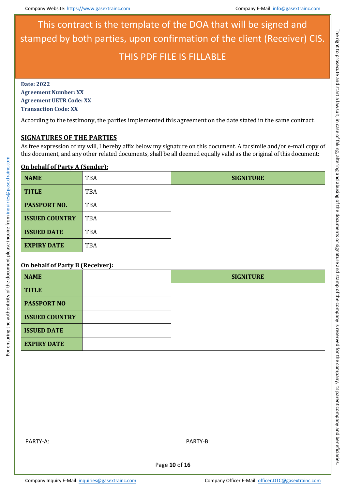**Date: 2022 Agreement Number: XX Agreement UETR Code: XX Transaction Code: XX**

According to the testimony, the parties implemented this agreement on the date stated in the same contract.

### **SIGNATURES OF THE PARTIES**

As free expression of my will, I hereby affix below my signature on this document. A facsimile and/or e-mail copy of this document, and any other related documents, shall be all deemed equally valid as the original of this document:

### **On behalf of Party A (Sender):**

| <b>NAME</b>           | TBA | <b>SIGNITURE</b> |
|-----------------------|-----|------------------|
| <b>TITLE</b>          | TBA |                  |
| <b>PASSPORT NO.</b>   | TBA |                  |
| <b>ISSUED COUNTRY</b> | TBA |                  |
| <b>ISSUED DATE</b>    | TBA |                  |
| <b>EXPIRY DATE</b>    | TBA |                  |

### **On behalf of Party B (Receiver):**

For ensuring the authenticity of the document please inquire from inquiries@gasextrainc.com

For ensuring the authenticity of the document please inquire from inquiries@gasextrainc.com

| <b>NAME</b>           | <b>SIGNITURE</b> |
|-----------------------|------------------|
| <b>TITLE</b>          |                  |
| <b>PASSPORT NO</b>    |                  |
| <b>ISSUED COUNTRY</b> |                  |
| <b>ISSUED DATE</b>    |                  |
| <b>EXPIRY DATE</b>    |                  |

Page **10** of **16**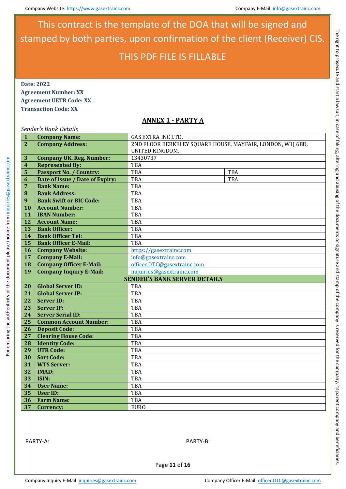**Date: 2022 Agreement Number: XX Agreement UETR Code: XX**

**Transaction Code: XX**

### **ANNEX 1 - PARTY A**

### *Sender's Bank Details*

| $\mathbf{1}$    | <b>Company Name:</b>                | GAS EXTRA INC LTD.                                         |  |  |
|-----------------|-------------------------------------|------------------------------------------------------------|--|--|
| $\overline{2}$  | <b>Company Address:</b>             | 2ND FLOOR BERKELEY SQUARE HOUSE, MAYFAIR, LONDON, W1J 6BD, |  |  |
|                 |                                     | UNITED KINGDOM.                                            |  |  |
| 3               | <b>Company UK. Reg. Number:</b>     | 13430737                                                   |  |  |
| 4               | <b>Represented By:</b>              | TBA                                                        |  |  |
| 5               | <b>Passport No. / Country:</b>      | TBA<br>TBA                                                 |  |  |
| 6               | Date of Issue / Date of Expiry:     | TBA<br><b>TBA</b>                                          |  |  |
| 7               | <b>Bank Name:</b>                   | <b>TBA</b>                                                 |  |  |
| 8               | <b>Bank Address:</b>                | <b>TBA</b>                                                 |  |  |
| 9               | <b>Bank Swift or BIC Code:</b>      | TBA                                                        |  |  |
| 10              | <b>Account Number:</b>              | TBA                                                        |  |  |
| 11              | <b>IBAN Number:</b>                 | TBA                                                        |  |  |
| 12              | <b>Account Name:</b>                | TBA                                                        |  |  |
| 13              | <b>Bank Officer:</b>                | TBA                                                        |  |  |
| 14              | <b>Bank Officer Tel:</b>            | TBA                                                        |  |  |
| 15              | <b>Bank Officer E-Mail:</b>         | <b>TBA</b>                                                 |  |  |
| 16              | <b>Company Website:</b>             | https://gasextrainc.com                                    |  |  |
| 17              | <b>Company E-Mail:</b>              | info@gasextrainc.com                                       |  |  |
| 18              | <b>Company Officer E-Mail:</b>      | officer.DTC@gasextrainc.com                                |  |  |
| 19              | <b>Company Inquiry E-Mail:</b>      | inquiries@gasextrainc.com                                  |  |  |
|                 | <b>SENDER'S BANK SERVER DETAILS</b> |                                                            |  |  |
| 20              | <b>Global Server ID:</b>            | <b>TBA</b>                                                 |  |  |
| 21              | <b>Global Server IP:</b>            | <b>TBA</b>                                                 |  |  |
| 22              | <b>Server ID:</b>                   | <b>TBA</b>                                                 |  |  |
| $\overline{23}$ | <b>Server IP:</b>                   | <b>TBA</b>                                                 |  |  |
| $\overline{24}$ | <b>Server Serial ID:</b>            | TBA                                                        |  |  |
| 25              | <b>Common Account Number:</b>       | TBA                                                        |  |  |
| 26              | <b>Deposit Code:</b>                | TBA                                                        |  |  |
| 27              | <b>Clearing House Code:</b>         | TBA                                                        |  |  |
| 28              | <b>Identity Code:</b>               | TBA                                                        |  |  |
| 29              | <b>UTR Code:</b>                    | TBA                                                        |  |  |
| 30              | <b>Sort Code:</b>                   | <b>TBA</b>                                                 |  |  |
| $\overline{31}$ | <b>WTS Server:</b>                  | <b>TBA</b>                                                 |  |  |
| 32              | <b>IMAD:</b>                        | TBA                                                        |  |  |
| 33              | ISIN:                               | TBA                                                        |  |  |
| 34              | <b>User Name:</b>                   | TBA                                                        |  |  |
| 35              | <b>User ID:</b>                     | TBA                                                        |  |  |
| 36              | <b>Farm Name:</b>                   | <b>TBA</b>                                                 |  |  |
| 37              | Currency:                           | <b>EURO</b>                                                |  |  |

PARTY-A: PARTY-B:

For ensuring the authenticity of the document please inquire from inquiries@gasextrainc.com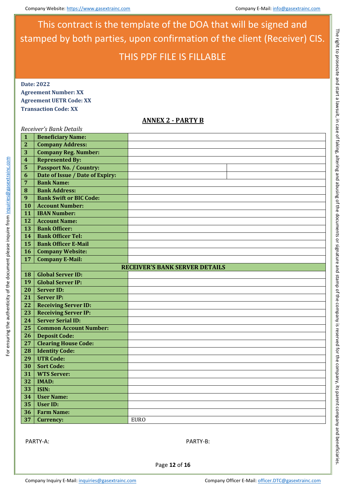**Date: 2022 Agreement Number: XX Agreement UETR Code: XX Transaction Code: XX**

### **ANNEX 2 - PARTY B**

# *Receiver's Bank Details* **Beneficiary Name: Company Address:**

| $\overline{2}$          | <b>Company Address:</b>         |                                       |  |
|-------------------------|---------------------------------|---------------------------------------|--|
| 3                       | <b>Company Reg. Number:</b>     |                                       |  |
| $\overline{\mathbf{4}}$ | <b>Represented By:</b>          |                                       |  |
| 5                       | <b>Passport No. / Country:</b>  |                                       |  |
| $\boldsymbol{6}$        | Date of Issue / Date of Expiry: |                                       |  |
| $\overline{7}$          | <b>Bank Name:</b>               |                                       |  |
| $\bf{8}$                | <b>Bank Address:</b>            |                                       |  |
| $\overline{9}$          | <b>Bank Swift or BIC Code:</b>  |                                       |  |
| 10                      | <b>Account Number:</b>          |                                       |  |
| 11                      | <b>IBAN Number:</b>             |                                       |  |
| 12                      | <b>Account Name:</b>            |                                       |  |
| 13                      | <b>Bank Officer:</b>            |                                       |  |
| 14                      | <b>Bank Officer Tel:</b>        |                                       |  |
| 15                      | <b>Bank Officer E-Mail</b>      |                                       |  |
| 16                      | <b>Company Website:</b>         |                                       |  |
| 17                      | <b>Company E-Mail:</b>          |                                       |  |
|                         |                                 | <b>RECEIVER'S BANK SERVER DETAILS</b> |  |
| 18                      | <b>Global Server ID:</b>        |                                       |  |
| 19                      | <b>Global Server IP:</b>        |                                       |  |
| 20                      | <b>Server ID:</b>               |                                       |  |
| 21                      | <b>Server IP:</b>               |                                       |  |
| 22                      | <b>Receiving Server ID:</b>     |                                       |  |
| 23                      | <b>Receiving Server IP:</b>     |                                       |  |
| 24                      | <b>Server Serial ID:</b>        |                                       |  |
| 25                      | <b>Common Account Number:</b>   |                                       |  |
| 26                      | <b>Deposit Code:</b>            |                                       |  |
| 27                      | <b>Clearing House Code:</b>     |                                       |  |
| 28                      | <b>Identity Code:</b>           |                                       |  |
| 29                      | <b>UTR Code:</b>                |                                       |  |
| 30                      | <b>Sort Code:</b>               |                                       |  |
| $\overline{31}$         | <b>WTS Server:</b>              |                                       |  |
| 32                      | <b>IMAD:</b>                    |                                       |  |
| 33                      | ISIN:                           |                                       |  |
| 34                      | <b>User Name:</b>               |                                       |  |
| 35                      | <b>User ID:</b>                 |                                       |  |
| 36                      | <b>Farm Name:</b>               |                                       |  |
| 37                      | Currency:                       | <b>EURO</b>                           |  |
|                         |                                 |                                       |  |

PARTY-A: PARTY-B:

For ensuring the authenticity of the document please inquire from inquiries@gasextrainc.com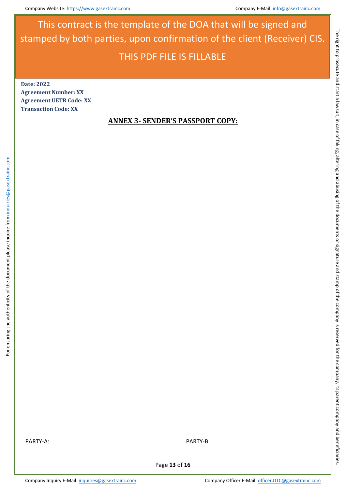**Date: 2022 Agreement Number: XX Agreement UETR Code: XX Transaction Code: XX**

### **ANNEX 3- SENDER'S PASSPORT COPY:**

PARTY-A: PARTY-B:

For ensuring the authenticity of the document please inquire from inquiries@gasextrainc.com

For ensuring the authenticity of the document please inquire from inquiries@gasextrainc.com

Page **13** of **16**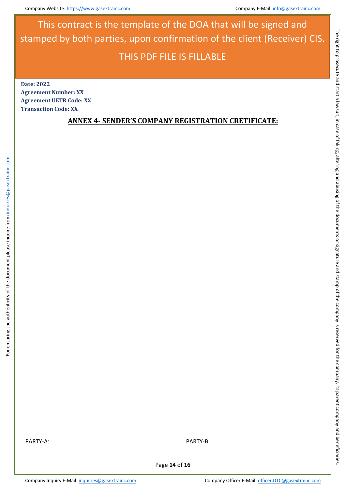**Date: 2022 Agreement Number: XX Agreement UETR Code: XX Transaction Code: XX**

### **ANNEX 4- SENDER'S COMPANY REGISTRATION CRETIFICATE:**

For ensuring the authenticity of the document please inquire from inquiries@gasextrainc.com

For ensuring the authenticity of the document please inquire from inquiries@gasextrainc.com

Page **14** of **16**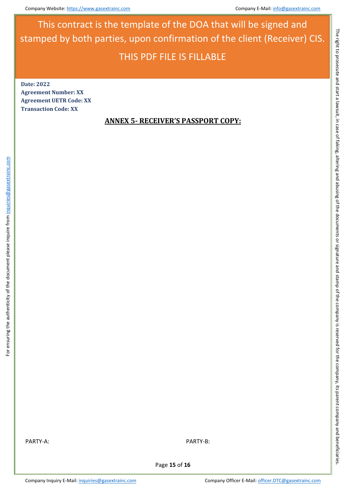**Date: 2022 Agreement Number: XX Agreement UETR Code: XX Transaction Code: XX**

### **ANNEX 5- RECEIVER'S PASSPORT COPY:**

For ensuring the authenticity of the document please inquire from inquiries@gasextrainc.com

For ensuring the authenticity of the document please inquire from inquiries@gasextrainc.com

Page **15** of **16**